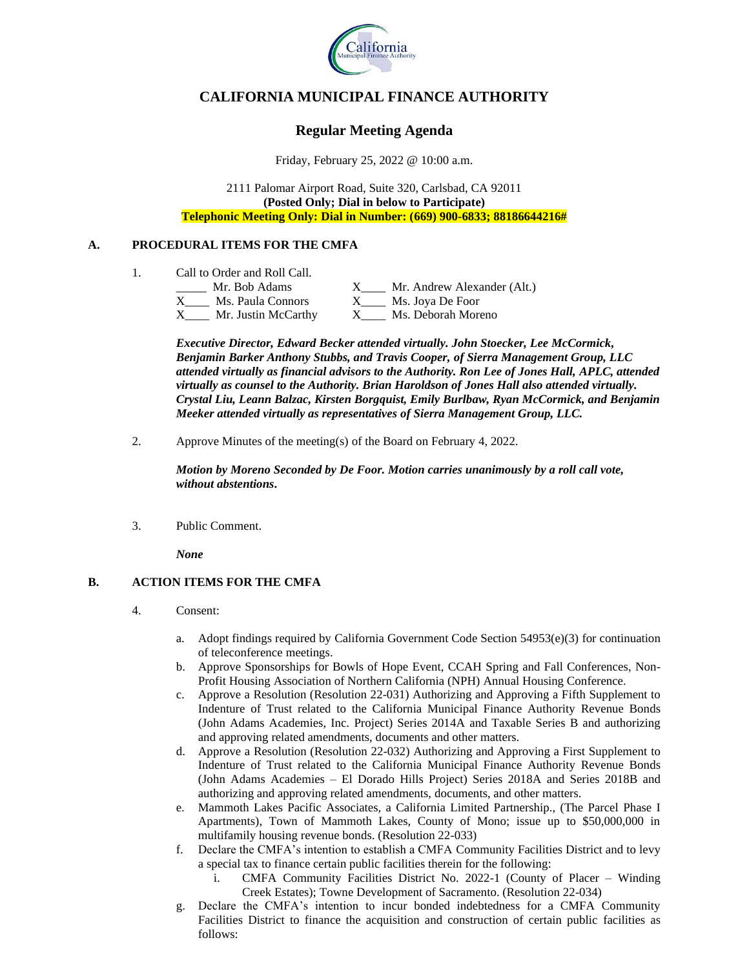

# **CALIFORNIA MUNICIPAL FINANCE AUTHORITY**

# **Regular Meeting Agenda**

Friday, February 25, 2022 @ 10:00 a.m.

2111 Palomar Airport Road, Suite 320, Carlsbad, CA 92011 **(Posted Only; Dial in below to Participate) Telephonic Meeting Only: Dial in Number: (669) 900-6833; 88186644216#**

## **A. PROCEDURAL ITEMS FOR THE CMFA**

1. Call to Order and Roll Call.

| Mr. Bob Adams       | Mr. Andrew Alexander (Alt.) |
|---------------------|-----------------------------|
| Ms. Paula Connors   | Ms. Joya De Foor            |
| Mr. Justin McCarthy | Ms. Deborah Moreno          |

*Executive Director, Edward Becker attended virtually. John Stoecker, Lee McCormick, Benjamin Barker Anthony Stubbs, and Travis Cooper, of Sierra Management Group, LLC attended virtually as financial advisors to the Authority. Ron Lee of Jones Hall, APLC, attended virtually as counsel to the Authority. Brian Haroldson of Jones Hall also attended virtually. Crystal Liu, Leann Balzac, Kirsten Borgquist, Emily Burlbaw, Ryan McCormick, and Benjamin Meeker attended virtually as representatives of Sierra Management Group, LLC.*

2. Approve Minutes of the meeting(s) of the Board on February 4, 2022.

*Motion by Moreno Seconded by De Foor. Motion carries unanimously by a roll call vote, without abstentions***.**

3. Public Comment.

*None*

# **B. ACTION ITEMS FOR THE CMFA**

- 4. Consent:
	- a. Adopt findings required by California Government Code Section 54953(e)(3) for continuation of teleconference meetings.
	- b. Approve Sponsorships for Bowls of Hope Event, CCAH Spring and Fall Conferences, Non-Profit Housing Association of Northern California (NPH) Annual Housing Conference.
	- c. Approve a Resolution (Resolution 22-031) Authorizing and Approving a Fifth Supplement to Indenture of Trust related to the California Municipal Finance Authority Revenue Bonds (John Adams Academies, Inc. Project) Series 2014A and Taxable Series B and authorizing and approving related amendments, documents and other matters.
	- d. Approve a Resolution (Resolution 22-032) Authorizing and Approving a First Supplement to Indenture of Trust related to the California Municipal Finance Authority Revenue Bonds (John Adams Academies – El Dorado Hills Project) Series 2018A and Series 2018B and authorizing and approving related amendments, documents, and other matters.
	- e. Mammoth Lakes Pacific Associates, a California Limited Partnership., (The Parcel Phase I Apartments), Town of Mammoth Lakes, County of Mono; issue up to \$50,000,000 in multifamily housing revenue bonds. (Resolution 22-033)
	- f. Declare the CMFA's intention to establish a CMFA Community Facilities District and to levy a special tax to finance certain public facilities therein for the following:
		- i. CMFA Community Facilities District No. 2022-1 (County of Placer Winding Creek Estates); Towne Development of Sacramento. (Resolution 22-034)
	- g. Declare the CMFA's intention to incur bonded indebtedness for a CMFA Community Facilities District to finance the acquisition and construction of certain public facilities as follows: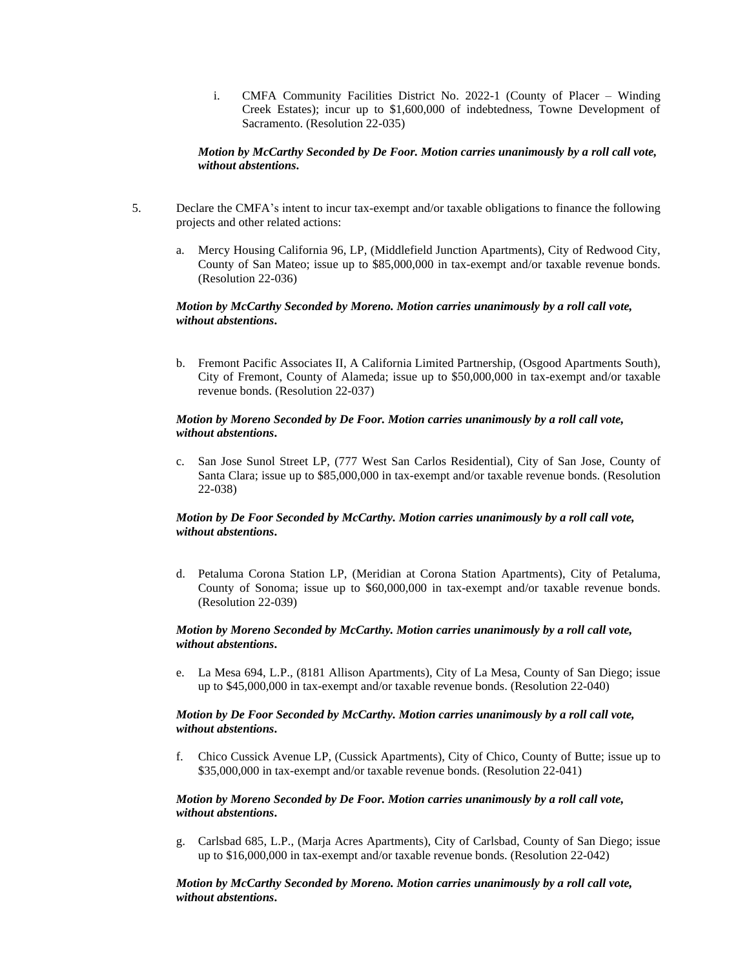i. CMFA Community Facilities District No. 2022-1 (County of Placer – Winding Creek Estates); incur up to \$1,600,000 of indebtedness, Towne Development of Sacramento. (Resolution 22-035)

## *Motion by McCarthy Seconded by De Foor. Motion carries unanimously by a roll call vote, without abstentions***.**

- 5. Declare the CMFA's intent to incur tax-exempt and/or taxable obligations to finance the following projects and other related actions:
	- a. Mercy Housing California 96, LP, (Middlefield Junction Apartments), City of Redwood City, County of San Mateo; issue up to \$85,000,000 in tax-exempt and/or taxable revenue bonds. (Resolution 22-036)

## *Motion by McCarthy Seconded by Moreno. Motion carries unanimously by a roll call vote, without abstentions***.**

b. Fremont Pacific Associates II, A California Limited Partnership, (Osgood Apartments South), City of Fremont, County of Alameda; issue up to \$50,000,000 in tax-exempt and/or taxable revenue bonds. (Resolution 22-037)

## *Motion by Moreno Seconded by De Foor. Motion carries unanimously by a roll call vote, without abstentions***.**

c. San Jose Sunol Street LP, (777 West San Carlos Residential), City of San Jose, County of Santa Clara; issue up to \$85,000,000 in tax-exempt and/or taxable revenue bonds. (Resolution 22-038)

## *Motion by De Foor Seconded by McCarthy. Motion carries unanimously by a roll call vote, without abstentions***.**

d. Petaluma Corona Station LP, (Meridian at Corona Station Apartments), City of Petaluma, County of Sonoma; issue up to \$60,000,000 in tax-exempt and/or taxable revenue bonds. (Resolution 22-039)

#### *Motion by Moreno Seconded by McCarthy. Motion carries unanimously by a roll call vote, without abstentions***.**

e. La Mesa 694, L.P., (8181 Allison Apartments), City of La Mesa, County of San Diego; issue up to \$45,000,000 in tax-exempt and/or taxable revenue bonds. (Resolution 22-040)

#### *Motion by De Foor Seconded by McCarthy. Motion carries unanimously by a roll call vote, without abstentions***.**

f. Chico Cussick Avenue LP, (Cussick Apartments), City of Chico, County of Butte; issue up to \$35,000,000 in tax-exempt and/or taxable revenue bonds. (Resolution 22-041)

#### *Motion by Moreno Seconded by De Foor. Motion carries unanimously by a roll call vote, without abstentions***.**

g. Carlsbad 685, L.P., (Marja Acres Apartments), City of Carlsbad, County of San Diego; issue up to \$16,000,000 in tax-exempt and/or taxable revenue bonds. (Resolution 22-042)

## *Motion by McCarthy Seconded by Moreno. Motion carries unanimously by a roll call vote, without abstentions***.**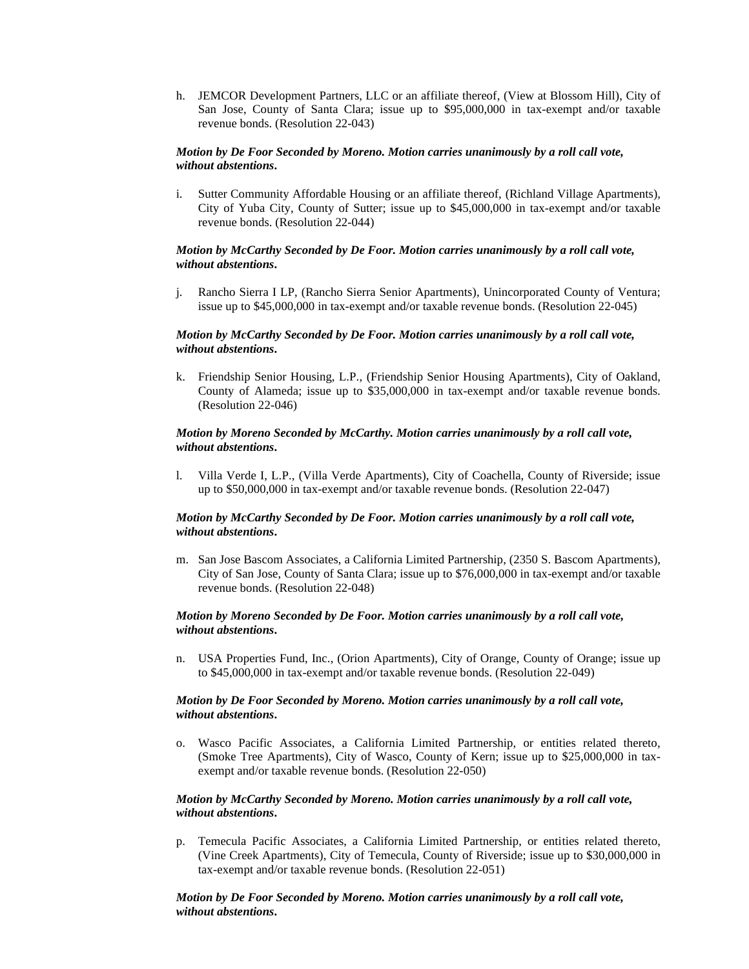h. JEMCOR Development Partners, LLC or an affiliate thereof, (View at Blossom Hill), City of San Jose, County of Santa Clara; issue up to \$95,000,000 in tax-exempt and/or taxable revenue bonds. (Resolution 22-043)

#### *Motion by De Foor Seconded by Moreno. Motion carries unanimously by a roll call vote, without abstentions***.**

i. Sutter Community Affordable Housing or an affiliate thereof, (Richland Village Apartments), City of Yuba City, County of Sutter; issue up to \$45,000,000 in tax-exempt and/or taxable revenue bonds. (Resolution 22-044)

### *Motion by McCarthy Seconded by De Foor. Motion carries unanimously by a roll call vote, without abstentions***.**

j. Rancho Sierra I LP, (Rancho Sierra Senior Apartments), Unincorporated County of Ventura; issue up to \$45,000,000 in tax-exempt and/or taxable revenue bonds. (Resolution 22-045)

#### *Motion by McCarthy Seconded by De Foor. Motion carries unanimously by a roll call vote, without abstentions***.**

k. Friendship Senior Housing, L.P., (Friendship Senior Housing Apartments), City of Oakland, County of Alameda; issue up to \$35,000,000 in tax-exempt and/or taxable revenue bonds. (Resolution 22-046)

#### *Motion by Moreno Seconded by McCarthy. Motion carries unanimously by a roll call vote, without abstentions***.**

l. Villa Verde I, L.P., (Villa Verde Apartments), City of Coachella, County of Riverside; issue up to \$50,000,000 in tax-exempt and/or taxable revenue bonds. (Resolution 22-047)

## *Motion by McCarthy Seconded by De Foor. Motion carries unanimously by a roll call vote, without abstentions***.**

m. San Jose Bascom Associates, a California Limited Partnership, (2350 S. Bascom Apartments), City of San Jose, County of Santa Clara; issue up to \$76,000,000 in tax-exempt and/or taxable revenue bonds. (Resolution 22-048)

#### *Motion by Moreno Seconded by De Foor. Motion carries unanimously by a roll call vote, without abstentions***.**

n. USA Properties Fund, Inc., (Orion Apartments), City of Orange, County of Orange; issue up to \$45,000,000 in tax-exempt and/or taxable revenue bonds. (Resolution 22-049)

#### *Motion by De Foor Seconded by Moreno. Motion carries unanimously by a roll call vote, without abstentions***.**

o. Wasco Pacific Associates, a California Limited Partnership, or entities related thereto, (Smoke Tree Apartments), City of Wasco, County of Kern; issue up to \$25,000,000 in taxexempt and/or taxable revenue bonds. (Resolution 22-050)

## *Motion by McCarthy Seconded by Moreno. Motion carries unanimously by a roll call vote, without abstentions***.**

p. Temecula Pacific Associates, a California Limited Partnership, or entities related thereto, (Vine Creek Apartments), City of Temecula, County of Riverside; issue up to \$30,000,000 in tax-exempt and/or taxable revenue bonds. (Resolution 22-051)

## *Motion by De Foor Seconded by Moreno. Motion carries unanimously by a roll call vote, without abstentions***.**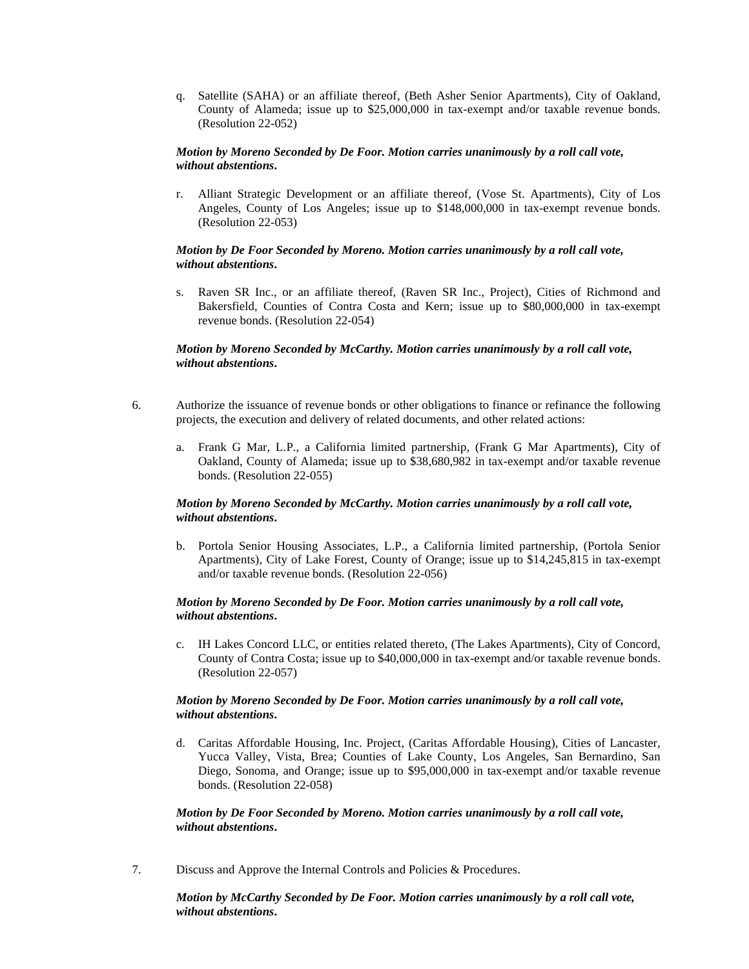q. Satellite (SAHA) or an affiliate thereof, (Beth Asher Senior Apartments), City of Oakland, County of Alameda; issue up to \$25,000,000 in tax-exempt and/or taxable revenue bonds. (Resolution 22-052)

#### *Motion by Moreno Seconded by De Foor. Motion carries unanimously by a roll call vote, without abstentions***.**

r. Alliant Strategic Development or an affiliate thereof, (Vose St. Apartments), City of Los Angeles, County of Los Angeles; issue up to \$148,000,000 in tax-exempt revenue bonds. (Resolution 22-053)

## *Motion by De Foor Seconded by Moreno. Motion carries unanimously by a roll call vote, without abstentions***.**

s. Raven SR Inc., or an affiliate thereof, (Raven SR Inc., Project), Cities of Richmond and Bakersfield, Counties of Contra Costa and Kern; issue up to \$80,000,000 in tax-exempt revenue bonds. (Resolution 22-054)

## *Motion by Moreno Seconded by McCarthy. Motion carries unanimously by a roll call vote, without abstentions***.**

- 6. Authorize the issuance of revenue bonds or other obligations to finance or refinance the following projects, the execution and delivery of related documents, and other related actions:
	- a. Frank G Mar, L.P., a California limited partnership, (Frank G Mar Apartments), City of Oakland, County of Alameda; issue up to \$38,680,982 in tax-exempt and/or taxable revenue bonds. (Resolution 22-055)

## *Motion by Moreno Seconded by McCarthy. Motion carries unanimously by a roll call vote, without abstentions***.**

b. Portola Senior Housing Associates, L.P., a California limited partnership, (Portola Senior Apartments), City of Lake Forest, County of Orange; issue up to \$14,245,815 in tax-exempt and/or taxable revenue bonds. (Resolution 22-056)

## *Motion by Moreno Seconded by De Foor. Motion carries unanimously by a roll call vote, without abstentions***.**

c. IH Lakes Concord LLC, or entities related thereto, (The Lakes Apartments), City of Concord, County of Contra Costa; issue up to \$40,000,000 in tax-exempt and/or taxable revenue bonds. (Resolution 22-057)

#### *Motion by Moreno Seconded by De Foor. Motion carries unanimously by a roll call vote, without abstentions***.**

d. Caritas Affordable Housing, Inc. Project, (Caritas Affordable Housing), Cities of Lancaster, Yucca Valley, Vista, Brea; Counties of Lake County, Los Angeles, San Bernardino, San Diego, Sonoma, and Orange; issue up to \$95,000,000 in tax-exempt and/or taxable revenue bonds. (Resolution 22-058)

#### *Motion by De Foor Seconded by Moreno. Motion carries unanimously by a roll call vote, without abstentions***.**

7. Discuss and Approve the Internal Controls and Policies & Procedures.

*Motion by McCarthy Seconded by De Foor. Motion carries unanimously by a roll call vote, without abstentions***.**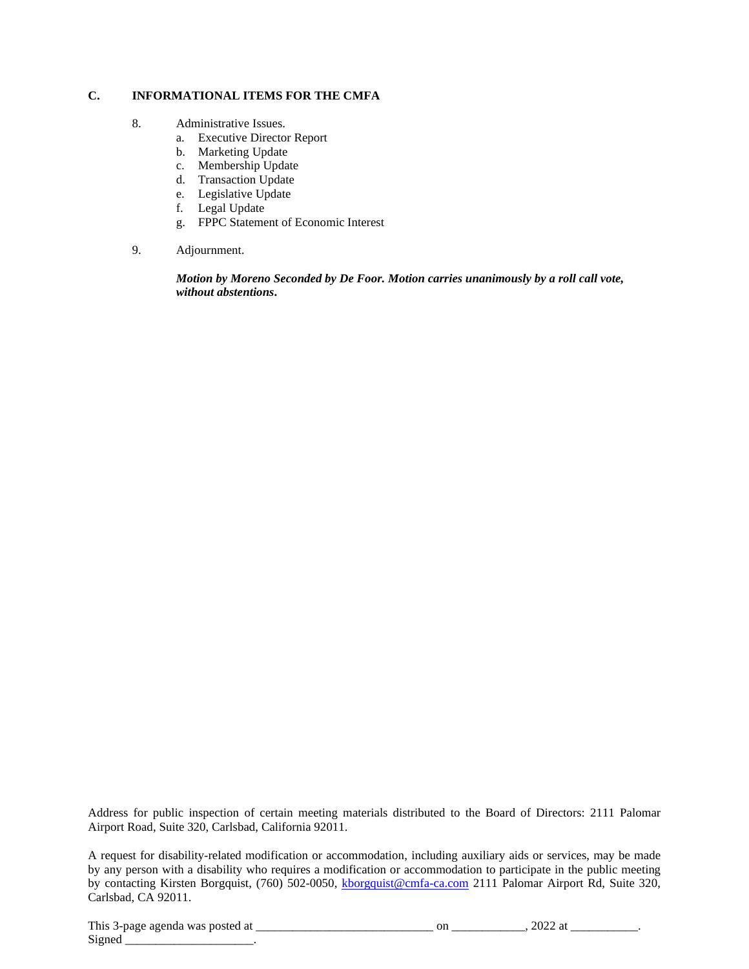## **C. INFORMATIONAL ITEMS FOR THE CMFA**

- 8. Administrative Issues.
	- a. Executive Director Report
	- b. Marketing Update
	- c. Membership Update
	- d. Transaction Update
	- e. Legislative Update
	- f. Legal Update
	- g. FPPC Statement of Economic Interest
- 9. Adjournment.

*Motion by Moreno Seconded by De Foor. Motion carries unanimously by a roll call vote, without abstentions***.**

Address for public inspection of certain meeting materials distributed to the Board of Directors: 2111 Palomar Airport Road, Suite 320, Carlsbad, California 92011.

A request for disability-related modification or accommodation, including auxiliary aids or services, may be made by any person with a disability who requires a modification or accommodation to participate in the public meeting by contacting Kirsten Borgquist, (760) 502-0050, [kborgquist@cmfa-ca.com](mailto:kborgquist@cmfa-ca.com) 2111 Palomar Airport Rd, Suite 320, Carlsbad, CA 92011.

This 3-page agenda was posted at \_\_\_\_\_\_\_\_\_\_\_\_\_\_\_\_\_\_\_\_\_\_\_\_\_\_\_\_\_ on \_\_\_\_\_\_\_\_\_\_\_\_, 2022 at \_\_\_\_\_\_\_\_\_\_\_. Signed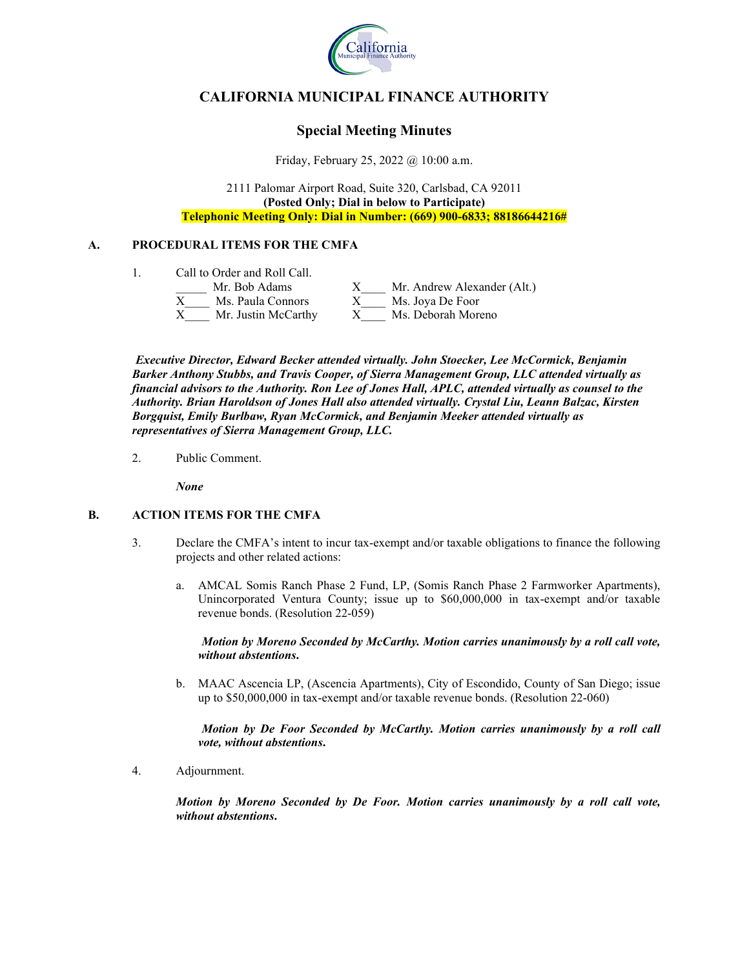

# **CALIFORNIA MUNICIPAL FINANCE AUTHORITY**

# **Special Meeting Minutes**

Friday, February 25, 2022 @ 10:00 a.m.

2111 Palomar Airport Road, Suite 320, Carlsbad, CA 92011 **(Posted Only; Dial in below to Participate) Telephonic Meeting Only: Dial in Number: (669) 900-6833; 88186644216#**

## **A. PROCEDURAL ITEMS FOR THE CMFA**

| Call to Order and Roll Call. |                             |  |
|------------------------------|-----------------------------|--|
| Mr. Bob Adams                | Mr. Andrew Alexander (Alt.) |  |
| Ms. Paula Connors            | Ms. Joya De Foor            |  |
| Mr. Justin McCarthy          | Ms. Deborah Moreno          |  |

*Executive Director, Edward Becker attended virtually. John Stoecker, Lee McCormick, Benjamin Barker Anthony Stubbs, and Travis Cooper, of Sierra Management Group, LLC attended virtually as financial advisors to the Authority. Ron Lee of Jones Hall, APLC, attended virtually as counsel to the Authority. Brian Haroldson of Jones Hall also attended virtually. Crystal Liu, Leann Balzac, Kirsten Borgquist, Emily Burlbaw, Ryan McCormick, and Benjamin Meeker attended virtually as representatives of Sierra Management Group, LLC.*

2. Public Comment.

*None*

# **B. ACTION ITEMS FOR THE CMFA**

- 3. Declare the CMFA's intent to incur tax-exempt and/or taxable obligations to finance the following projects and other related actions:
	- a. AMCAL Somis Ranch Phase 2 Fund, LP, (Somis Ranch Phase 2 Farmworker Apartments), Unincorporated Ventura County; issue up to \$60,000,000 in tax-exempt and/or taxable revenue bonds. (Resolution 22-059)

*Motion by Moreno Seconded by McCarthy. Motion carries unanimously by a roll call vote, without abstentions***.**

b. MAAC Ascencia LP, (Ascencia Apartments), City of Escondido, County of San Diego; issue up to \$50,000,000 in tax-exempt and/or taxable revenue bonds. (Resolution 22-060)

*Motion by De Foor Seconded by McCarthy. Motion carries unanimously by a roll call vote, without abstentions***.**

4. Adjournment.

*Motion by Moreno Seconded by De Foor. Motion carries unanimously by a roll call vote, without abstentions***.**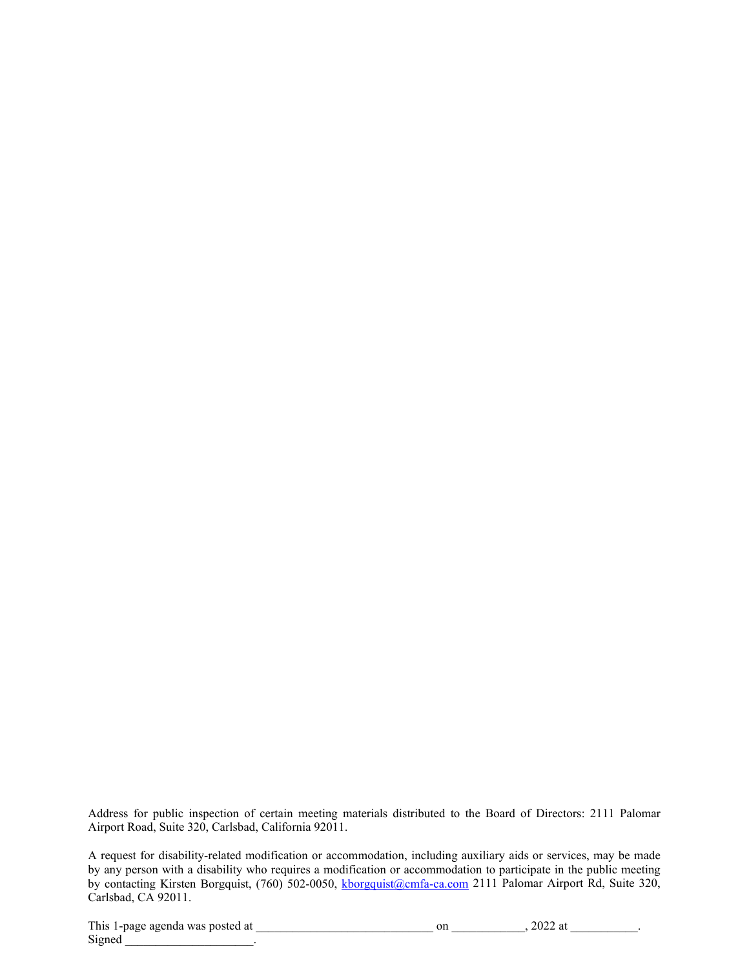Address for public inspection of certain meeting materials distributed to the Board of Directors: 2111 Palomar Airport Road, Suite 320, Carlsbad, California 92011.

A request for disability-related modification or accommodation, including auxiliary aids or services, may be made by any person with a disability who requires a modification or accommodation to participate in the public meeting by contacting Kirsten Borgquist, (760) 502-0050, [kborgquist@cmfa-ca.com](mailto:kborgquist@cmfa-ca.com) 2111 Palomar Airport Rd, Suite 320, Carlsbad, CA 92011.

This 1-page agenda was posted at \_\_\_\_\_\_\_\_\_\_\_\_\_\_\_\_\_\_\_\_\_\_\_\_\_\_\_\_\_ on \_\_\_\_\_\_\_\_\_\_\_\_, 2022 at \_\_\_\_\_\_\_\_\_\_\_. Signed \_\_\_\_\_\_\_\_\_\_\_\_\_\_\_\_\_\_\_\_\_.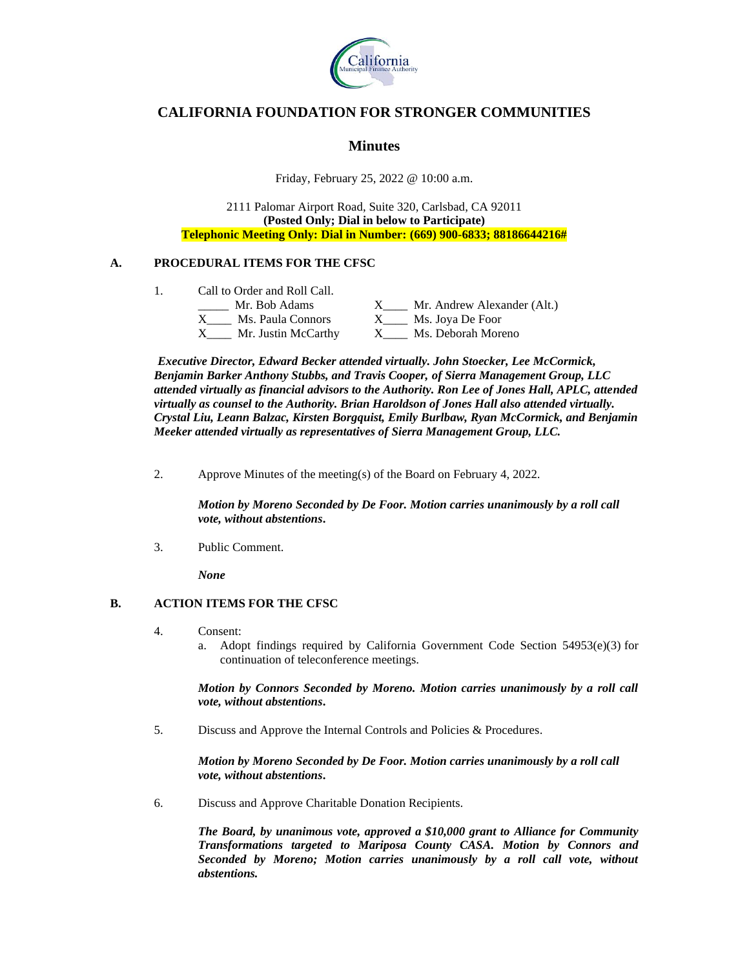

# **CALIFORNIA FOUNDATION FOR STRONGER COMMUNITIES**

# **Minutes**

Friday, February 25, 2022 @ 10:00 a.m.

2111 Palomar Airport Road, Suite 320, Carlsbad, CA 92011 **(Posted Only; Dial in below to Participate) Telephonic Meeting Only: Dial in Number: (669) 900-6833; 88186644216#**

# **A. PROCEDURAL ITEMS FOR THE CFSC**

1. Call to Order and Roll Call.

| can to orger and ron can. |                             |  |
|---------------------------|-----------------------------|--|
| Mr. Bob Adams             | Mr. Andrew Alexander (Alt.) |  |
| Ms. Paula Connors         | Ms. Joya De Foor            |  |
| Mr. Justin McCarthy       | Ms. Deborah Moreno          |  |

*Executive Director, Edward Becker attended virtually. John Stoecker, Lee McCormick, Benjamin Barker Anthony Stubbs, and Travis Cooper, of Sierra Management Group, LLC attended virtually as financial advisors to the Authority. Ron Lee of Jones Hall, APLC, attended virtually as counsel to the Authority. Brian Haroldson of Jones Hall also attended virtually. Crystal Liu, Leann Balzac, Kirsten Borgquist, Emily Burlbaw, Ryan McCormick, and Benjamin Meeker attended virtually as representatives of Sierra Management Group, LLC.*

2. Approve Minutes of the meeting(s) of the Board on February 4, 2022.

*Motion by Moreno Seconded by De Foor. Motion carries unanimously by a roll call vote, without abstentions***.**

3. Public Comment.

*None*

## **B. ACTION ITEMS FOR THE CFSC**

- 4. Consent:
	- a. Adopt findings required by California Government Code Section  $54953(e)(3)$  for continuation of teleconference meetings.

*Motion by Connors Seconded by Moreno. Motion carries unanimously by a roll call vote, without abstentions***.**

5. Discuss and Approve the Internal Controls and Policies & Procedures.

*Motion by Moreno Seconded by De Foor. Motion carries unanimously by a roll call vote, without abstentions***.**

6. Discuss and Approve Charitable Donation Recipients.

*The Board, by unanimous vote, approved a \$10,000 grant to Alliance for Community Transformations targeted to Mariposa County CASA. Motion by Connors and Seconded by Moreno; Motion carries unanimously by a roll call vote, without abstentions.*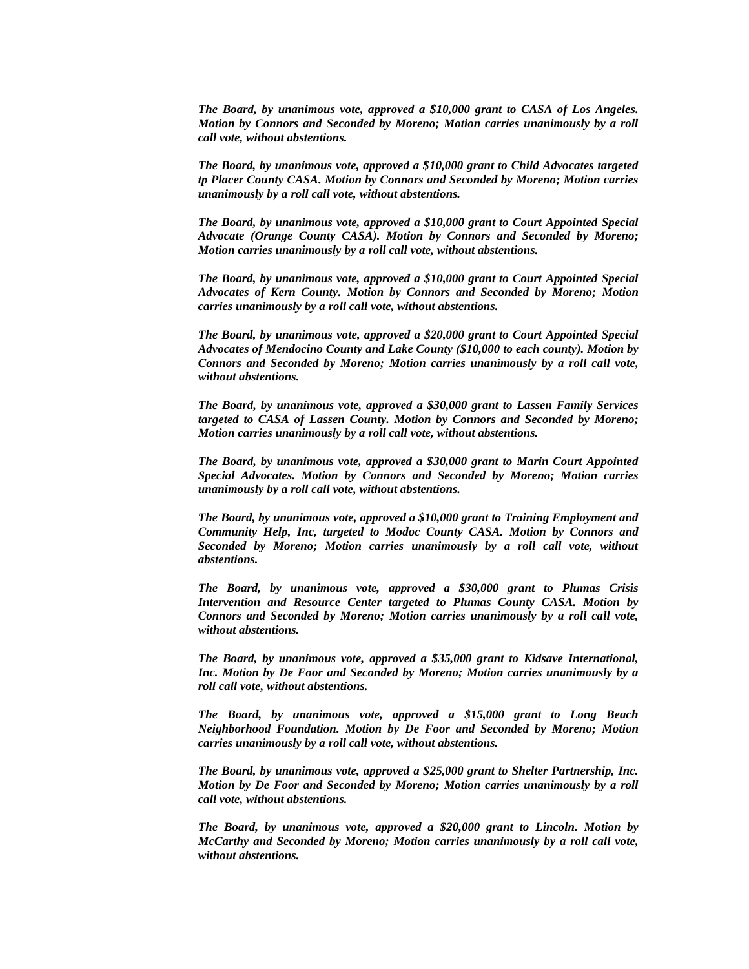*The Board, by unanimous vote, approved a \$10,000 grant to CASA of Los Angeles. Motion by Connors and Seconded by Moreno; Motion carries unanimously by a roll call vote, without abstentions.*

*The Board, by unanimous vote, approved a \$10,000 grant to Child Advocates targeted tp Placer County CASA. Motion by Connors and Seconded by Moreno; Motion carries unanimously by a roll call vote, without abstentions.*

*The Board, by unanimous vote, approved a \$10,000 grant to Court Appointed Special Advocate (Orange County CASA). Motion by Connors and Seconded by Moreno; Motion carries unanimously by a roll call vote, without abstentions.*

*The Board, by unanimous vote, approved a \$10,000 grant to Court Appointed Special Advocates of Kern County. Motion by Connors and Seconded by Moreno; Motion carries unanimously by a roll call vote, without abstentions.*

*The Board, by unanimous vote, approved a \$20,000 grant to Court Appointed Special Advocates of Mendocino County and Lake County (\$10,000 to each county). Motion by Connors and Seconded by Moreno; Motion carries unanimously by a roll call vote, without abstentions.*

*The Board, by unanimous vote, approved a \$30,000 grant to Lassen Family Services targeted to CASA of Lassen County. Motion by Connors and Seconded by Moreno; Motion carries unanimously by a roll call vote, without abstentions.*

*The Board, by unanimous vote, approved a \$30,000 grant to Marin Court Appointed Special Advocates. Motion by Connors and Seconded by Moreno; Motion carries unanimously by a roll call vote, without abstentions.*

*The Board, by unanimous vote, approved a \$10,000 grant to Training Employment and Community Help, Inc, targeted to Modoc County CASA. Motion by Connors and Seconded by Moreno; Motion carries unanimously by a roll call vote, without abstentions.*

*The Board, by unanimous vote, approved a \$30,000 grant to Plumas Crisis Intervention and Resource Center targeted to Plumas County CASA. Motion by Connors and Seconded by Moreno; Motion carries unanimously by a roll call vote, without abstentions.*

*The Board, by unanimous vote, approved a \$35,000 grant to Kidsave International, Inc. Motion by De Foor and Seconded by Moreno; Motion carries unanimously by a roll call vote, without abstentions.*

*The Board, by unanimous vote, approved a \$15,000 grant to Long Beach Neighborhood Foundation. Motion by De Foor and Seconded by Moreno; Motion carries unanimously by a roll call vote, without abstentions.*

*The Board, by unanimous vote, approved a \$25,000 grant to Shelter Partnership, Inc. Motion by De Foor and Seconded by Moreno; Motion carries unanimously by a roll call vote, without abstentions.*

*The Board, by unanimous vote, approved a \$20,000 grant to Lincoln. Motion by McCarthy and Seconded by Moreno; Motion carries unanimously by a roll call vote, without abstentions.*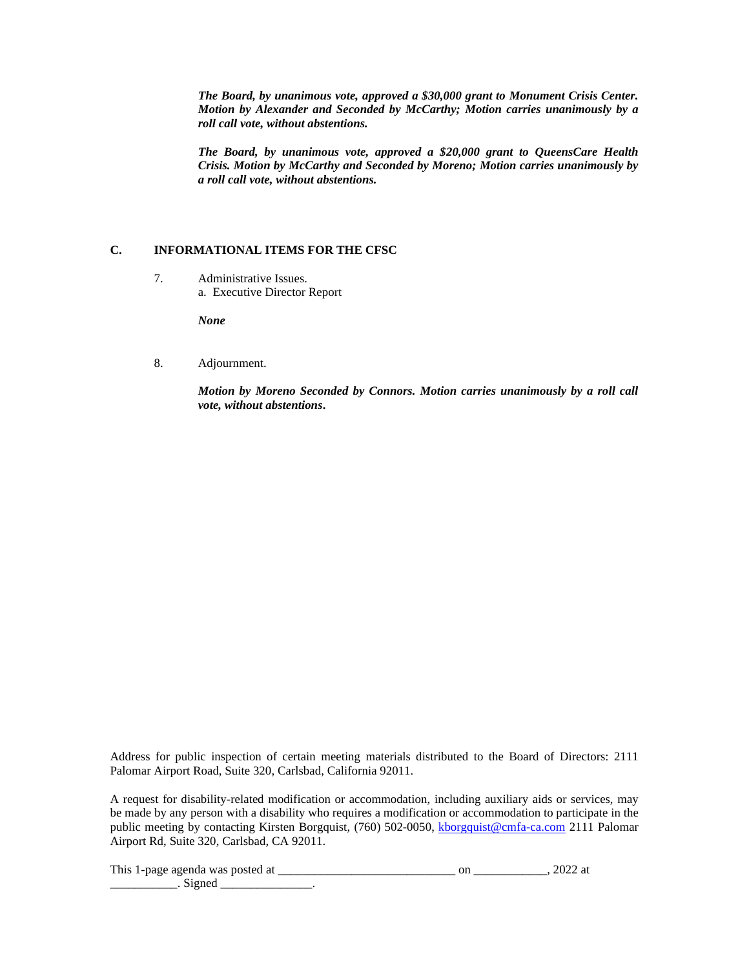*The Board, by unanimous vote, approved a \$30,000 grant to Monument Crisis Center. Motion by Alexander and Seconded by McCarthy; Motion carries unanimously by a roll call vote, without abstentions.*

*The Board, by unanimous vote, approved a \$20,000 grant to QueensCare Health Crisis. Motion by McCarthy and Seconded by Moreno; Motion carries unanimously by a roll call vote, without abstentions.*

## **C. INFORMATIONAL ITEMS FOR THE CFSC**

7. Administrative Issues. a. Executive Director Report

*None*

8. Adjournment.

*Motion by Moreno Seconded by Connors. Motion carries unanimously by a roll call vote, without abstentions***.**

Address for public inspection of certain meeting materials distributed to the Board of Directors: 2111 Palomar Airport Road, Suite 320, Carlsbad, California 92011.

A request for disability-related modification or accommodation, including auxiliary aids or services, may be made by any person with a disability who requires a modification or accommodation to participate in the public meeting by contacting Kirsten Borgquist, (760) 502-0050, [kborgquist@cmfa-ca.com](mailto:kborgquist@cmfa-ca.com) 2111 Palomar Airport Rd, Suite 320, Carlsbad, CA 92011.

This 1-page agenda was posted at \_\_\_\_\_\_\_\_\_\_\_\_\_\_\_\_\_\_\_\_\_\_\_\_\_\_\_\_\_ on \_\_\_\_\_\_\_\_\_\_\_\_, 2022 at  $\therefore$  Signed  $\therefore$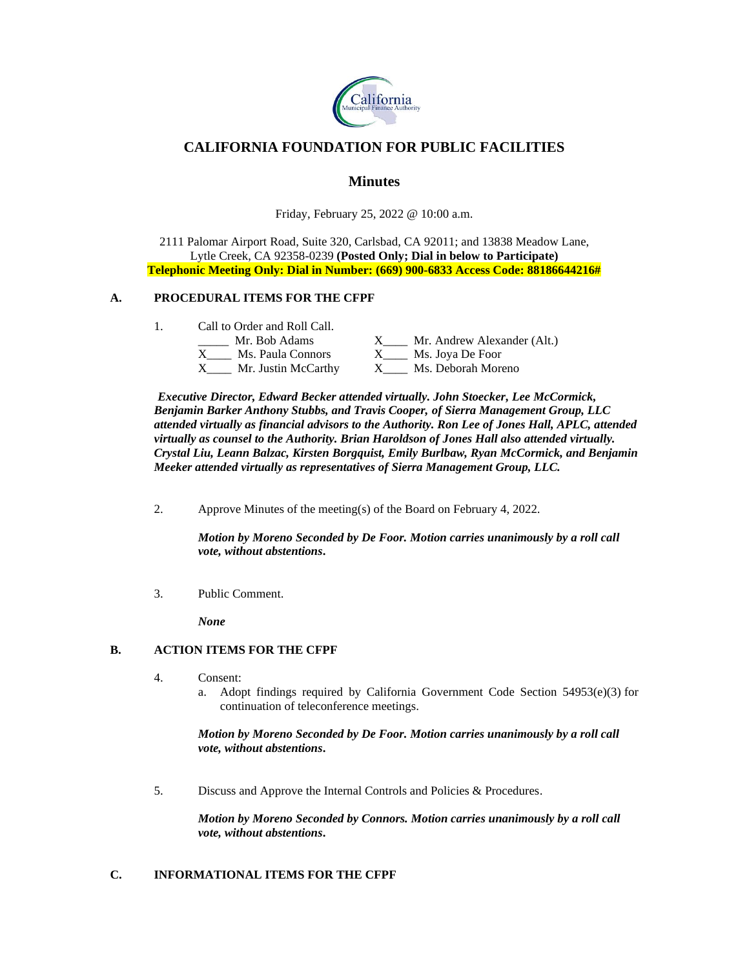

# **CALIFORNIA FOUNDATION FOR PUBLIC FACILITIES**

# **Minutes**

Friday, February 25, 2022 @ 10:00 a.m.

2111 Palomar Airport Road, Suite 320, Carlsbad, CA 92011; and 13838 Meadow Lane, Lytle Creek, CA 92358-0239 **(Posted Only; Dial in below to Participate) Telephonic Meeting Only: Dial in Number: (669) 900-6833 Access Code: 88186644216#**

## **A. PROCEDURAL ITEMS FOR THE CFPF**

| Call to Order and Roll Call. |                             |
|------------------------------|-----------------------------|
| Mr. Bob Adams                | Mr. Andrew Alexander (Alt.) |
| Ms. Paula Connors            | Ms. Joya De Foor            |
| Mr. Justin McCarthy          | Ms. Deborah Moreno          |

*Executive Director, Edward Becker attended virtually. John Stoecker, Lee McCormick, Benjamin Barker Anthony Stubbs, and Travis Cooper, of Sierra Management Group, LLC attended virtually as financial advisors to the Authority. Ron Lee of Jones Hall, APLC, attended virtually as counsel to the Authority. Brian Haroldson of Jones Hall also attended virtually. Crystal Liu, Leann Balzac, Kirsten Borgquist, Emily Burlbaw, Ryan McCormick, and Benjamin Meeker attended virtually as representatives of Sierra Management Group, LLC.*

2. Approve Minutes of the meeting(s) of the Board on February 4, 2022.

*Motion by Moreno Seconded by De Foor. Motion carries unanimously by a roll call vote, without abstentions***.**

3. Public Comment.

*None*

## **B. ACTION ITEMS FOR THE CFPF**

- 4. Consent:
	- a. Adopt findings required by California Government Code Section 54953(e)(3) for continuation of teleconference meetings.

*Motion by Moreno Seconded by De Foor. Motion carries unanimously by a roll call vote, without abstentions***.**

5. Discuss and Approve the Internal Controls and Policies & Procedures.

*Motion by Moreno Seconded by Connors. Motion carries unanimously by a roll call vote, without abstentions***.**

## **C. INFORMATIONAL ITEMS FOR THE CFPF**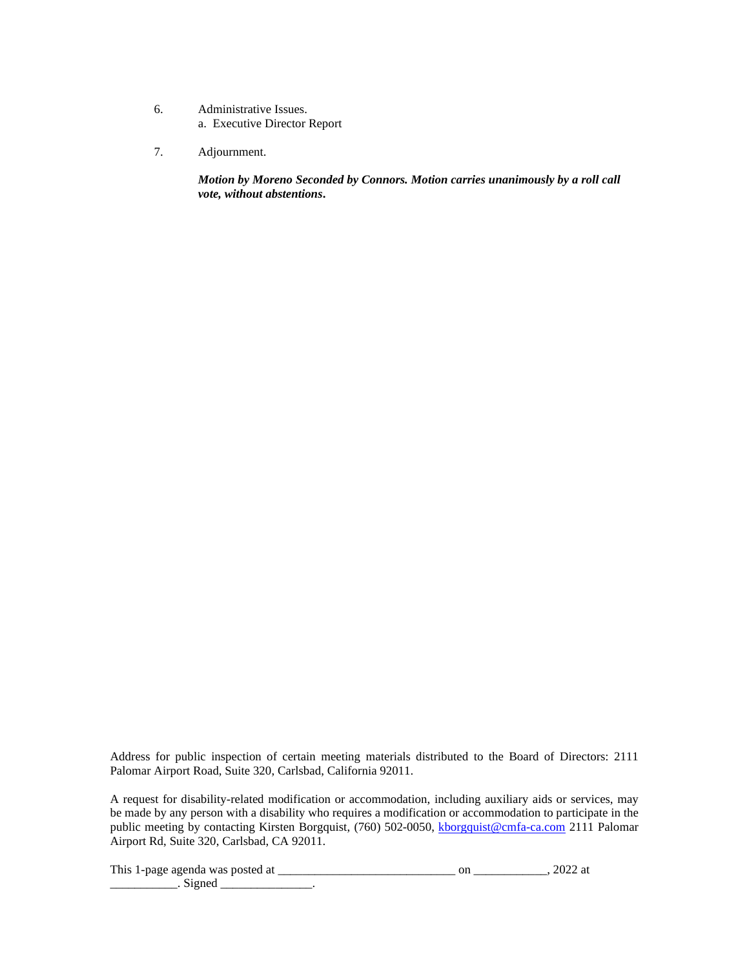- 6. Administrative Issues. a. Executive Director Report
- 7. Adjournment.

*Motion by Moreno Seconded by Connors. Motion carries unanimously by a roll call vote, without abstentions***.**

Address for public inspection of certain meeting materials distributed to the Board of Directors: 2111 Palomar Airport Road, Suite 320, Carlsbad, California 92011.

A request for disability-related modification or accommodation, including auxiliary aids or services, may be made by any person with a disability who requires a modification or accommodation to participate in the public meeting by contacting Kirsten Borgquist, (760) 502-0050, [kborgquist@cmfa-ca.com](mailto:kborgquist@cmfa-ca.com) 2111 Palomar Airport Rd, Suite 320, Carlsbad, CA 92011.

This 1-page agenda was posted at \_\_\_\_\_\_\_\_\_\_\_\_\_\_\_\_\_\_\_\_\_\_\_\_\_\_\_\_\_ on \_\_\_\_\_\_\_\_\_\_\_\_, 2022 at \_\_\_\_\_\_\_\_\_\_\_\_\_\_\_. Signed \_\_\_\_\_\_\_\_\_\_\_\_\_\_\_\_\_.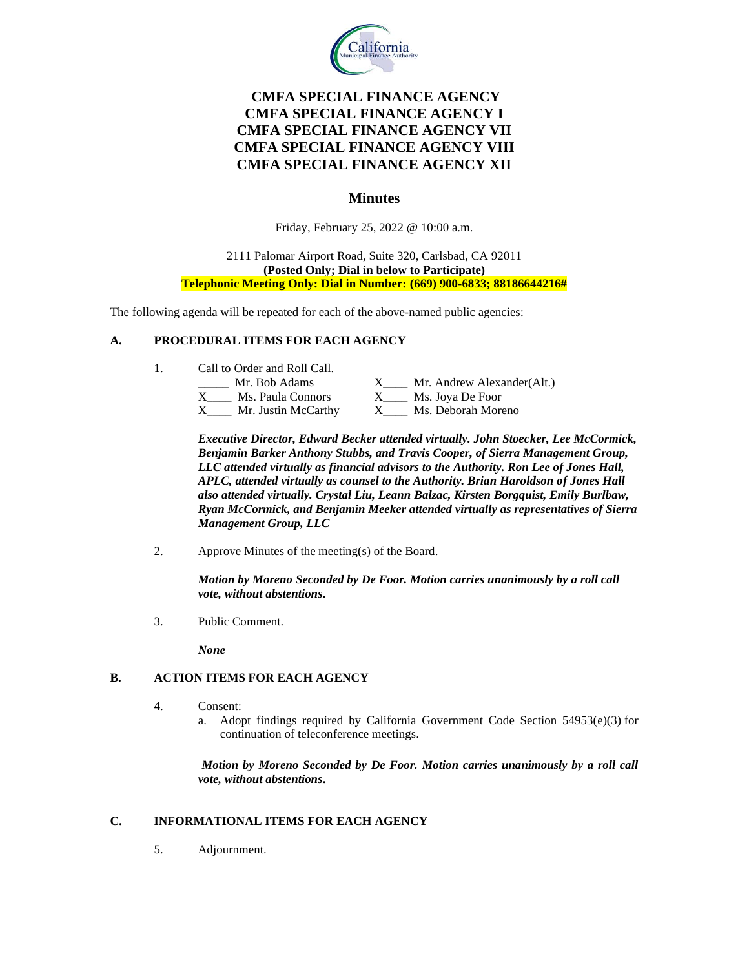

# **CMFA SPECIAL FINANCE AGENCY CMFA SPECIAL FINANCE AGENCY I CMFA SPECIAL FINANCE AGENCY VII CMFA SPECIAL FINANCE AGENCY VIII CMFA SPECIAL FINANCE AGENCY XII**

# **Minutes**

Friday, February 25, 2022 @ 10:00 a.m.

### 2111 Palomar Airport Road, Suite 320, Carlsbad, CA 92011 **(Posted Only; Dial in below to Participate) Telephonic Meeting Only: Dial in Number: (669) 900-6833; 88186644216#**

The following agenda will be repeated for each of the above-named public agencies:

## **A. PROCEDURAL ITEMS FOR EACH AGENCY**

1. Call to Order and Roll Call.

| Mr. Bob Adams       | Mr. Andrew Alexander(Alt.) |
|---------------------|----------------------------|
| Ms. Paula Connors   | Ms. Joya De Foor           |
| Mr. Justin McCarthy | Ms. Deborah Moreno         |

*Executive Director, Edward Becker attended virtually. John Stoecker, Lee McCormick, Benjamin Barker Anthony Stubbs, and Travis Cooper, of Sierra Management Group, LLC attended virtually as financial advisors to the Authority. Ron Lee of Jones Hall, APLC, attended virtually as counsel to the Authority. Brian Haroldson of Jones Hall also attended virtually. Crystal Liu, Leann Balzac, Kirsten Borgquist, Emily Burlbaw, Ryan McCormick, and Benjamin Meeker attended virtually as representatives of Sierra Management Group, LLC*

2. Approve Minutes of the meeting(s) of the Board.

*Motion by Moreno Seconded by De Foor. Motion carries unanimously by a roll call vote, without abstentions***.**

3. Public Comment.

*None*

## **B. ACTION ITEMS FOR EACH AGENCY**

- 4. Consent:
	- a. Adopt findings required by California Government Code Section  $54953(e)(3)$  for continuation of teleconference meetings.

*Motion by Moreno Seconded by De Foor. Motion carries unanimously by a roll call vote, without abstentions***.**

## **C. INFORMATIONAL ITEMS FOR EACH AGENCY**

5. Adjournment.